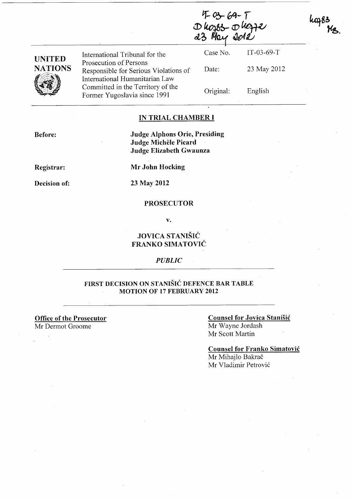$4 - 03 - 69 - 1$  $D$ kozos  $D$ koz 23 May 201

| <b>UNITED</b><br><b>NATIONS</b> | International Tribunal for the                                                                      | Case No.  | $IT-03-69-T$ |
|---------------------------------|-----------------------------------------------------------------------------------------------------|-----------|--------------|
|                                 | Prosecution of Persons<br>Responsible for Serious Violations of                                     | Date:     | 23 May 2012  |
|                                 | International Humanitarian Law<br>Committed in the Territory of the<br>Former Yugoslavia since 1991 | Original: | English      |

## IN TRIAL CHAMBER I

Judge Alphons Orie, Presiding Judge Michele Picard Judge Elizabeth Gwaunza

Registrar:

Before:

Mr John Hocking

Decision of:

23 May 2012

#### PROSECUTOR

v.

## JOVICA STANIŠIĆ FRANKO SIMATOVIC

#### *PUBLIC*

## FIRST DECISION ON STANISIC DEFENCE BAR TABLE MOTION OF 17 FEBRUARY 2012

Office of the Prosecutor

Mr Dermot Groome

## Counsel for Jovica Stanisic

Mr Wayne lordash Mr Scott Martin

Counsel for Franko Simatovic Mr Mihajlo Bakrač Mr Vladimir Petrovic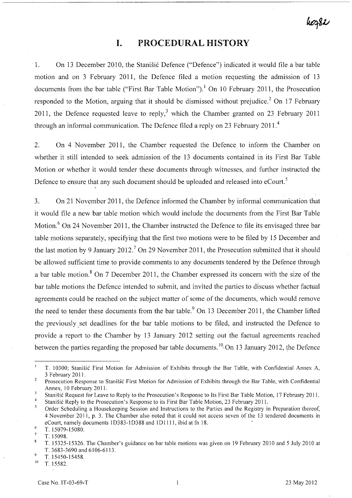## hoz82

## **I. PROCEDURAL HISTORY**

. 1. On 13 December 2010, the Stanisic Defence ("Defence") indicated it would file a bar table motion and on 3 February 2011, the Defence filed a motion requesting the admission of 13 documents from the bar table ("First Bar Table Motion").<sup>1</sup> On 10 February 2011, the Prosecution responded to the Motion, arguing that it should be dismissed without prejudice.<sup>2</sup> On 17 February 2011, the Defence requested leave to reply,<sup>3</sup> which the Chamber granted on 23 February 2011 through an informal communication. The Defence filed a reply on 23 February 2011.<sup>4</sup>

2. On 4 November 2011, the Chamber requested the Defence to inform the Chamber on whether it still intended to seek admission of the 13 documents contained in its First Bar Table Motion or whether it would tender these documents through witnesses, and further instructed the Defence to ensure that any such document should be uploaded and released into eCourt.<sup>5</sup>

3. On 21 November 2011, the Defence informed the Chamber by informal communication that it would file a new bar table motion which would include the documents from the First Bar Table Motion.<sup>6</sup> On 24 November 2011, the Chamber instructed the Defence to file its envisaged three bar table motions separately, specifying that the first two motions were to be filed by 15 December and the last motion by 9 January 2012.<sup>7</sup> On 29 November 2011, the Prosecution submitted that it should be allowed sufficient time to provide comments to any documents tendered by the Defence through a bar table motion.<sup>8</sup> On 7 December 2011, the Chamber expressed its concern with the size of the bar table motions the Defence intended to submit, and invited the parties to discuss whether factual agreements could be reached on the subject matter of some of the documents, which would remove the need to tender these documents from the bar table.<sup>9</sup> On 13 December 2011, the Chamber lifted the previously set deadlines for the bar table motions to be filed, and instructed the Defence to provide a report to the Chamber by 13 January 2012 setting out the factual agreements reached between the parties regarding the proposed bar table documents.<sup>10</sup> On 13 January 2012, the Defence

 $\overline{Q}$ T.15450-15458.

T. 10300; Stanišić First Motion for Admission of Exhibits through the Bar Table, with Confidential Annex A, 3 February 2011.

 $\overline{2}$ Prosecution Response to Stanisic First Motion for Admission of Exhibits through the Bar Table, with Confidential Annex, 10 February 2011.

 $\overline{3}$ Stanisic Request for Leave to Reply to the Prosecution's Response to Its First Bar Table Motion, 17 February 2011.  $\overline{4}$ 

Stanisic Reply to the Prosecution's Response to its First Bar Table Motion, 23 February 2011.

 $\mathfrak{s}$ Order Scheduling a Housekeeping Session and Instructions to the Parties and the Registry in Preparation thereof, 4 November 2011, p. 3. The Chamber also noted that it could not access seven of the 13 tendered documents in eCourt, namely documents 1D383-1D388 and 1D1111, ibid at fn 18. 6

T.15079-15080.

 $\overline{7}$ T. 15098.

 $\mathbf{R}$ T. 15325-15326. The Chamber's guidance on bar table motions was given on 19 February 2010 and 5 July 2010 at T. 3683-3690 and 6106-6113.

 $10$  T. 15582.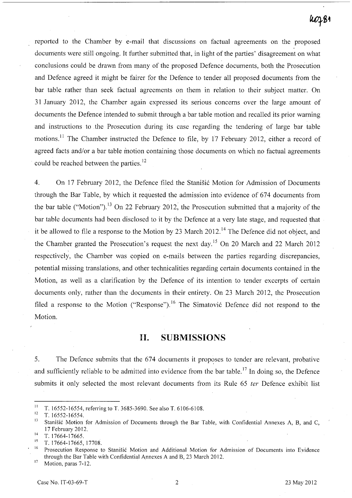## $100 - 84$

reported to the Chamber by e-mail that discussions on factual agreements on the proposed documents were still ongoing. It further submitted that, in light of the parties' disagreement on what conclusions could be drawn from many of the proposed Defence documents, both the Prosecution and Defence agreed it might be fairer for the Defence to tender all proposed documents from the bar table rather than seek factual agreements on them in relation to their subject matter. On 31 January 2012, the Chamber again expressed its serious concerns over the large amount of documents the Defence intended to submit through a bar table motion and recalled its prior warning and instructions to the Prosecution during its case regarding the tendering of large bar table motions.<sup>11</sup> The Chamber instructed the Defence to file, by 17 February 2012, either a record of agreed facts and/or a bar table motion containing those documents on which no factual agreements could be reached between the parties.<sup>12</sup>

4. On 17 February 2012, the Defence filed the Stanisic Motion for Admission of Documents through the Bar Table, by which it requested the admission into evidence of 674 documents from the bar table ("Motion").<sup>13</sup> On 22 February 2012, the Prosecution submitted that a majority of the bar table documents had been disclosed to it by the Defence at a very late stage, and requested that it be allowed to file a response to the Motion by 23 March 2012.<sup>14</sup> The Defence did not object, and the Chamber granted the Prosecution's request the next day.<sup>15</sup> On 20 March and 22 March 2012 respectively, the Chamber was copied on e-mails between the parties regarding discrepancies, potential missing translations, and other technicalities regarding certain documents contained in the Motion, as well as a clarification by the Defence of its intention to tender excerpts of certain documents only, rather than the documents in their entirety. On 23 March 2012, the Prosecution filed a response to the Motion ("Response").<sup>16</sup> The Simatovic Defence did not respond to the Motion.

## **11. SUBMISSIONS**

5. The Defence submits that the 674 documents it proposes to tender are relevant, probative and sufficiently reliable to be admitted into evidence from the bar table.<sup>17</sup> In doing so, the Defence submits it only selected the most relevant documents from its Rule 65 *ter* Defence exhibit list

<sup>&</sup>lt;sup>11</sup> T. 16552-16554, referring to T. 3685-3690. See also T. 6106-6108.

 $\frac{12}{13}$  T. 16552-16554.

Stanišić Motion for Admission of Documents through the Bar Table, with Confidential Annexes A, B, and C, 17 February 2012.

 $14$  T. 17664-17665.

 $15$  T. 17664-17665, 17708.

Prosecution Response to Stanišić Motion and Additional Motion for Admission of Documents into Evidence through the Bar Table with Confidential Annexes A and B, 23 March 2012.

<sup>&</sup>lt;sup>17</sup> Motion, paras 7-12.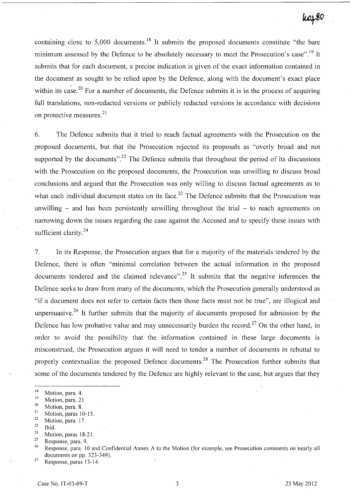## koz80

containing close to 5,000 documents.<sup>18</sup> It submits the proposed documents constitute "the bare" minimum assessed by the Defence to be absolutely necessary to meet the Prosecution's case".<sup>19</sup> It submits that for each document, a precise indication is given of the exact information contained in the document as sought to be relied upon by the Defence, along with the document's exact place within its case.<sup>20</sup> For a number of documents, the Defence submits it is in the process of acquiring full translations, non-redacted versions or publicly redacted versions in accordance with decisions on protective measures.<sup>21</sup>

6. The Defence submits that it tried to reach factual agreements with the Prosecution on the proposed documents, but that the Prosecution rejected its proposals as "overly broad and not supported by the documents".<sup>22</sup> The Defence submits that throughout the period of its discussions with the Prosecution on the proposed documents, the Prosecution was unwilling to discuss broad conclusions and argued that the Prosecution was only willing to discuss factual agreements as to what each individual document states on its face.<sup>23</sup> The Defence submits that the Prosecution was unwilling  $-$  and has been persistently unwilling throughout the trial  $-$  to reach agreements on narrowing down the issues regarding the case against the Accused and to specify these issues with sufficient clarity.<sup>24</sup>

7. In its Response, the Prosecution argues that for a majority of the materials tendered by the Defence, there is often "minimal correlation between the actual information in the proposed documents tendered and the claimed relevance".<sup>25</sup> It submits that the negative inferences the Defence seeks to draw from many of the documents, which the Prosecution generally understood as "if a document does not refer to certain facts then those facts must not be true", are illogical and unpersuasive.<sup>26</sup> It further submits that the majority of documents proposed for admission by the Defence has low probative value and may unnecessarily burden the record.<sup>27</sup> On the other hand, in order to avoid the possibility that the information contained in these large documents is misconstrued, the Prosecution argues it will need to tender a number of documents in rebuttal to properly contextualize the proposed Defence documents.<sup>28</sup> The Prosecution further submits that some of the documents tendered by the Defence are highly relevant to the case, but argues that they

- $\frac{18}{19}$  Motion, para. 4.
- $\frac{19}{20}$  Motion, para. 21.
- $\frac{20}{21}$  Motion, para. 8.
- $\frac{21}{22}$  Motion, paras 10-15.
- $\frac{22}{23}$  Motion, para. 17.
- $\frac{23}{24}$  Ibid.
- $\frac{24}{25}$  Motion, paras 18-21.
- $\frac{25}{26}$  Response, para. 9.

<sup>26</sup> Response, para. 10 and Confidential Annex A to the Motion (for example, see Prosecution comments on nearly all documents on pp. 323-349).

 $27$  Response, paras 13-14.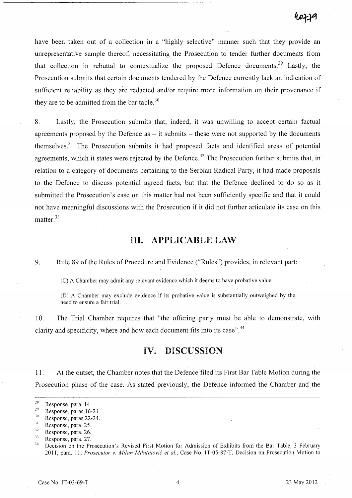have been taken out of a collection in a "highly selective" manner such that they provide an unrepresentative sample thereof, necessitating the Prosecution to tender further documents from that collection in rebuttal to contextualize the proposed Defence documents.<sup>29</sup> Lastly, the Prosecution submits that certain documents tendered by the Defence currently lack an indication of sufficient reliability as they are redacted and/or require more information on their provenance if they are to be admitted from the bar table.<sup>30</sup>

8. Lastly, the Prosecution submits that, indeed, it was unwilling to accept certain factual agreements proposed by the Defence as  $-$  it submits  $-$  these were not supported by the documents themselves.<sup>31</sup> The Prosecution submits it had proposed facts and identified areas of potential agreements, which it states were rejected by the Defence.<sup>32</sup> The Prosecution further submits that, in relation to a category of documents pertaining to the Serbian Radical Party, it had made proposals to the Defence to discuss potential agreed facts, but that the Defence declined to do so as it submitted the Prosecution's case on this matter had not been sufficiently specific and that it could not have meaningful discussions with the Prosecution if it did not further articulate its case on this matter.<sup>33</sup>

## **Ill .. APPLICABLE** LAW

9. Rule 89 of the Rules of Procedure and Evidence ("Rules") provides, in relevant part:

(C) A Chamber may admit any relevant evidence which it deems to have probative value.

(D) A Chamber may exclude evidence if its probative value is substantially outweighed by the need to ensure a fair trial.

10. The Trial Chamber requires that "the offering party must be able to demonstrate, with clarity and specificity, where and how each document fits into its case".<sup>34</sup>

## **IV. DISCUSSION**

11. At the outset, the Chamber notes that the Defence filed its First Bar Table Motion during the Prosecution phase of the case. As stated previously, the Defence informed 'the Chamber and the

 $\frac{28}{29}$  Response, para. 14.

 $\frac{29}{30}$  Response, paras 16-21.

 $rac{30}{31}$  Response, paras 22-24.

 $\frac{31}{32}$  Response, para. 25.

 $rac{32}{33}$  Response, para. 26.

 $\frac{33}{34}$  Response, para. 27.

Decision on the Prosecution's Revised First Motion for Admission of Exhibits from the Bar Table, 3 February 2011, para. 11; *Prosecutor v. Milan Milutinovic et aI.,* Case No. IT-05-87-T, Decision on Prosecution Motion to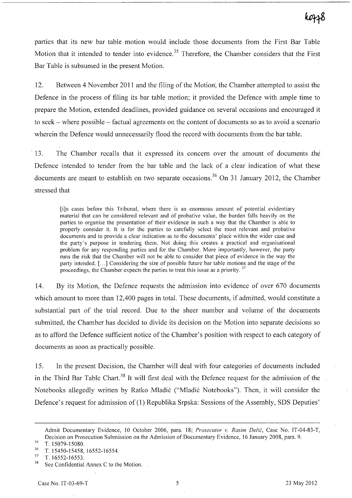parties that its new bar table motion would include those documents from the First Bar Table Motion that it intended to tender into evidence.<sup>35</sup> Therefore, the Chamber considers that the First Bar Table is subsumed in the present Motion.

12. Between 4 November 2011 and the filing of the Motion, the Chamber attempted to assist the Defence in the process of filing its bar table motion; it provided the Defence with ample time to prepare the Motion, extended deadlines, provided guidance on several occasions and encouraged it to seek- where possible - factual agreements on the content of documents so as to avoid a scenario wherein the Defence would unnecessarily flood the record with documents from the bar table.

13. The Chamber recalls that it expressed its concern over the amount of documents the Defence intended to tender from the bar table and the lack of a clear indication of what these documents are meant to establish on two separate occasions.<sup>36</sup> On 31 January 2012, the Chamber stressed that

[i]n cases before this Tribunal, where there is an enormous amount of potential evidentiary material that can be considered relevant and of probative value, the burden falls heavily on the parties to organise the presentation of their evidence in such a way that the Chamber is able to properly consider it. It is for the parties to carefully select the most relevant and probative documents and to provide a clear indication as to·the documents' place within the wider case and the party's purpose in tendering them. Not doing this creates a practical and organisational problem for any responding parties and for the Chamber. More importantly, however, the party runs the risk that the Chamber will not be able to consider that piece of evidence in the way the party intended. [ ... ] Considering the size of possible future bar table motions and the stage of the proceedings, the Chamber expects the parties to treat this issue as a priority.<sup>37</sup>

14. By its Motion, the Defence requests the admission into evidence of over 670 documents which amount to more than 12,400 pages in total. These documents, if admitted, would constitute a substantial part of the trial record. Due to the sheer number and volume of the documents submitted, the Chamber has decided to divide its decision on the Motion into separate decisions so as to afford the Defence sufficient notice of the Chamber's position with respect to each category of documents as soon as practically possible.

15. In the present Decision, the Chamber will deal with four categories of documents included in the Third Bar Table Chart.<sup>38</sup> It will first deal with the Defence request for the admission of the Notebooks allegedly written by Ratko Mladic ("Mladic Notebooks"). Then, it will consider the Defence's request for admission of (1) Republika Srpska: Sessions of the Assembly, SDS Deputies'

Admit Documentary Evidence, 10 October 2006, para. 18; *Prosecutor v. Rasim Delic,* Case No. IT -04-83-T, Decision on Prosecution Submission on the Admission of Documentary Evidence, 16 January 2008, para. 9.

 $\frac{35}{36}$  T. 15079-15080.

 $\frac{36}{37}$  T. 15450-15458, 16552-16554.

 $\frac{37}{38}$  T. 16552-16553.

See Confidential Annex C to the Motion.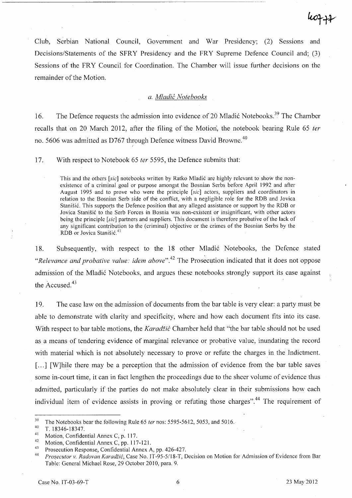Club, Serbian National Council, Government and War Presidency; (2) Sessions and Decisions/Statements of the SFRY Presidency and the FRY Supreme Defence Council and; (3) Sessions of the FRY Council for Coordination. The Chamber will issue further decisions on the remainder of the Motion.

## *a. Mladic Notebooks*

16. The Defence requests the admission into evidence of 20 Mladić Notebooks.<sup>39</sup> The Chamber recalls that on 20 March 2012, after the filing of the Motion, the notebook bearing Rule 65 *ter*  no. 5606 was admitted as D767 through Defence witness David Browne.<sup>40</sup>

17. With respect to Notebook 65 *ter* 5595, the Defence submits that:

I

This and the others *[sic]* notebooks written by Ratko Mladic are highly relevant to show the nonexistence of a criminal goal or purpose amongst the Bosnian Serbs before April 1992 and after August 1995 and to prove who were the principle *[sic]* actors, suppliers and coordinators in relation to the Bosnian Serb side of the conflict, with a negligible role for the ROB and Jovica Stanišić. This supports the Defence position that any alleged assistance or support by the RDB or Jovica Stanisic to the Serb Forces in Bosnia was non-existent or insignificant, with other actors being the principle *[sic]* partners and suppliers. This document is therefore probative of the lack of any significant contribution to the (criminal) objective or the crimes of the Bosnian Serbs by the RDB or Jovica Stanisic. <sup>41</sup>

18. Subsequently, with respect to the 18 other Mladić Notebooks, the Defence stated *"Relevance and probative value: idem above".*<sup>42</sup> The Prosecution indicated that it does not oppose admission of the Mladić Notebooks, and argues these notebooks strongly support its case against the Accused.<sup>43</sup>

19. The case law on the admission of documents from the bar table is very clear: a party must be able to demonstrate with clarity and specificity, where and how each document fits into its case. With respect to bar table motions, the *Karadžić* Chamber held that "the bar table should not be used as a means of tendering evidence of marginal relevance or probative value, inundating the record with material which is not absolutely necessary to prove or refute the charges in the Indictment. [...] [W]hile there may be a perception that the admission of evidence from the bar table saves some in-court time, it can in fact lengthen the proceedings due to the sheer volume of evidence thus admitted, particularly if the parties do not make absolutely clear in their submissions how each individual item of evidence assists in proving or refuting those charges".<sup>44</sup> The requirement of

<sup>&</sup>lt;sup>39</sup> The Notebooks bear the following Rule 65 *ter* nos: 5595-5612, 5053, and 5016.

<sup>40</sup>*T.18346-18347.* 

<sup>&</sup>lt;sup>41</sup> Motion, Confidential Annex C, p. 117.

<sup>42</sup> Motion, Confidential Annex C, pp. 117-121.

<sup>&</sup>lt;sup>43</sup> Prosecution Response, Confidential Annex A, pp. 426-427.

*<sup>44</sup> Pros.ecutor* v. *Radovan Karadiic,* Case No. IT-95-51l8-T, Decision on Motion for Admission of Evidence from Bar Table: General Michael Rose, 29 October 2010, para. 9.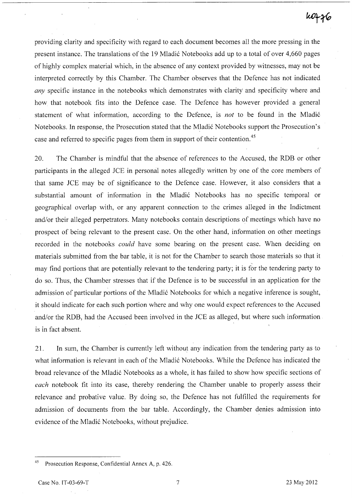# k0776

providing clarity and specificity with regard to each document becomes all the more pressing in the present instance. The translations of the 19 Mladić Notebooks add up to a total of over 4,660 pages of highly complex material which, in the absence of any context provided by witnesses, may not be interpreted correctly by this Chamber. The Chamber observes that the Defence has not indicated *any* specific instance in the notebooks which demonstrates with clarity and specificity where and how that notebook fits into the Defence case. The Defence has however provided a general statement of what information, according to the Defence, is *not* to be found in the Mladić Notebooks. In response, the Prosecution stated that the Mladić Notebooks support the Prosecution's case and referred to specific pages from them in support of their contention.<sup>45</sup>

20. The Chamber is mindful that the absence of references to the Accused, the RDB or other participants in the alleged JCE in personal notes allegedly written by one of the core members of that same JCE may be of significance to the Defence case. However, it also considers that a substantial amount of information in the Mladić Notebooks has no specific temporal or geographical overlap with, or any apparent connection to the crimes alleged in the Indictment and/or their alleged perpetrators. Many notebooks contain descriptions of meetings which have no prospect of being relevant to the present case. On the other hand, information on other meetings recorded in the notebooks *could* have some bearing on the present case. When deciding on materials submitted from the bar table, it is not for the Chamber to search those materials so that it may find portions that are potentially relevant to the tendering party; it is for the tendering party to do so. Thus, the Chamber stresses that if the Defence is to be successful in an application for the admission of particular portions of the Mladić Notebooks for which a negative inference is sought, it should indicate for each such portion where and why one would expect references to the Accused and/or the RDB, had the Accused been involved in the JCE as alleged, but where such information is in fact absent.

21. **In** sum, the Chamber is currently left without any indication from the tendering party as to what information is relevant in each of the Mladić Notebooks. While the Defence has indicated the broad relevance of the Mladić Notebooks as a whole, it has failed to show how specific sections of each notebook fit into its case, thereby rendering the Chamber unable to properly assess their relevance and probative value. By doing so, the Defence has not fulfilled the requirements for admission of documents from the bar table. Accordingly, the Chamber denies admission into evidence of the Mladić Notebooks, without prejudice.

<sup>45</sup> Prosecution Response, Confidential Annex A, p. 426.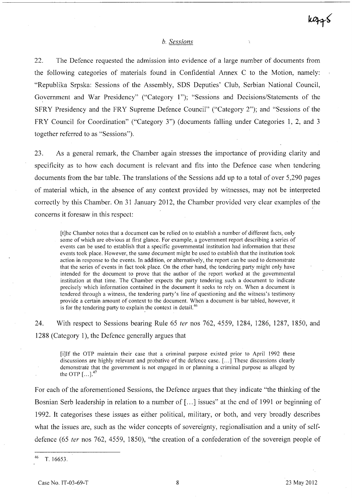## *h. Sessions*

22. The Defence requested the admission into evidence of a large number of documents from the following categories of materials found in Confidential Annex C to the Motion, namely: "Republika Srpska: Sessions of the Assembly, SDS Deputies' Club,. Serbian National Council, Government and War Presidency" ("Category 1"); "Sessions and Decisions/Statements of the SFRY Presidency and the FRY Supreme Defence Council" ("Category 2"); and "Sessions of the FRY Council for Coordination" ("Category 3") (documents falling under Categories 1, 2, and 3 together referred to as "Sessions").

23. As a general remark, the Chamber again stresses the importance of providing clarity and specificity as to how each document is relevant and fits into the Defence case when tendering documents from the bar table. The translations of the Sessions add up to a total of over 5,290 pages of material which, in the absence of any context provided by witnesses, may not be interpreted correctly by this Chamber. On 31 January 2012, the Chamber provided very clear examples of the concerns it foresaw in this respect:

[t]he Chamber notes that a document can be relied on to establish a number of different facts, only some of which are obvious at first glance. For example, a government report describing a series of events can be used to establish that a specific governmental institution had information that these events took place. However, the same document might be used to establish that the institution took action in response to the events. In addition, or alternatively, the report can be used to demonstrate that the series of events in fact took place. On the other hand, the tendering party might only have intended for the document to prove that the author of the report worked at the governmental institution at that time. The Chamber expects the party tendering such a document to indicate precisely which information contained in the document it seeks to rely on. When a document is tendered through a witness, the tendering party's line of questioning and the witness's testimony provide a certain amount of context to the document. When a document is bar tabled, however, it is for the tendering party to explain the context in detail.<sup>46</sup>

24. With respect to Sessions bearing Rule 65 *ter* nos 762, 4559, 1284, 1286, 1287, 1850, and 1288 (Category 1), the Defence generally argues that

[i]If the OTP maintain their case that a criminal purpose existed prior to April 1992 these discussions are highly relevant and probative of the defence case. [ ... ] These discussions clearly demonstrate that the government is not engaged in or planning a criminal purpose as alleged by the OTP  $\left[ \ldots \right]$ .<sup>47</sup>

For each of the aforementioned Sessions, the Defence argues that they indicate "the thinking of the Bosnian Serb leadership in relation to a number of [...] issues" at the end of 1991 or beginning of 1992. It categorises these issues as either political, military, or both, and very broadly describes what the issues are, such as the wider concepts of sovereignty, regionalisation and a unity of selfdefence (65 fer nos 762, 4559, 1850), "the creation of a confederation of the sovereign people of

 $k\rightarrow s$ 

 $46$  T. 16653.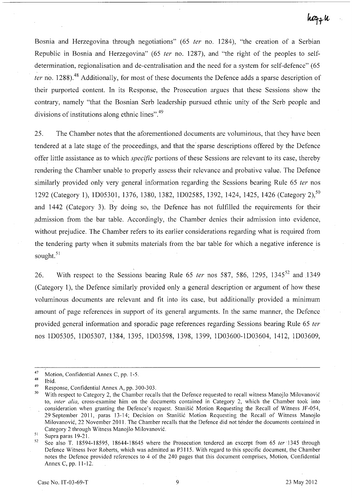## hozzh

Bosnia and Herzegovina through negotiations" (65 *ter* no. 1284), "the creation of a Serbian Republic in Bosnia and' Herzegovina" (65 fer no. 1287), and "the right of the peoples to selfdetermination, regionalisation and de-centralisation and the need for a system for self-defence" (65 ter no. 1288).<sup>48</sup> Additionally, for most of these documents the Defence adds a sparse description of their purported content. In its Response, the Prosecution argues that these Sessions show the contrary, namely "that the Bosnian Serb leadership pursued ethnic unity of the Serb people and divisions of institutions along ethnic lines". 49

25. The Chamber notes that the aforementioned documents are voluminous, that they have been tendered at a late stage of the proceedings, and that the sparse descriptions offered by the Defence offer little assistance as to which *specific* portions of these Sessions are relevant to its case, thereby rendering the Chamber unable to properly assess their relevance and probative value. The Defence similarly provided only very general information regarding the Sessions bearing Rule 65 *ter* nos 1292 (Category 1), 1D05301, 1376, 1380, 1382, 1D02585, 1392, 1424, 1425, 1426 (Category 2),<sup>50</sup> and 1442 (Category 3). By doing so, the Defence has not fulfilled the requirements for their admission from the bar table. Accordingly, the Chamber denies their admission into evidence, without prejudice. The Chamber refers to its earlier considerations regarding what is required from the tendering party when it submits materials from the bar table for which a negative inference is sought.<sup>51</sup>

26. With respect to the Sessions bearing Rule 65 ter nos 587, 586, 1295, 1345<sup>52</sup> and 1349 (Category 1), the Defence similarly provided only a general description or argument of how these voluminous documents are relevant and fit into its case, but additionally provided a minimum amount of page references in support of its general arguments. In the same manner, the Defence provided general information and sporadic page references regarding Sessions bearing Rule 65 ter nos ID05305, ID05307, 1384, 1395, ID03598, 1398, 1399, ID03600-1D03604, 1412, ID03609,

<sup>&</sup>lt;sup>47</sup> Motion, Confidential Annex C, pp. 1-5.

 $\frac{48}{49}$  Ibid.

<sup>&</sup>lt;sup>49</sup> Response, Confidential Annex A, pp. 300-303.

With respect to Category 2, the Chamber recalls that the Defence requested to recall witness Manojlo Milovanović to, inter alia, cross-examine him on the documents contained in Category 2, which the Chamber took into consideration when granting the Defence's request. Stanisic Motion Requesting the Recall of Witness IF-054, 29 September 2011, paras 13-14; Decision on Stanisic Motion Requesting the Recall of Witness Manojlo Milovanovic, 22 November 2011. The Chamber recalls that the Defence did not tender the documents contained in Category 2 through Witness Manojlo Milovanovic.

 $rac{51}{52}$  Supra paras 19-21.

See also T. 18594-18595, 18644-18645 where the Prosecution tendered an excerpt from 65 ter 1345 through Defence Witness Ivor Roberts, which was admitted as P3115. With regard to this specific document, the Chamber notes the Defence provided references to 4 of the 240 pages that this document comprises, Motion, Confidential Annex C, pp. 11-12.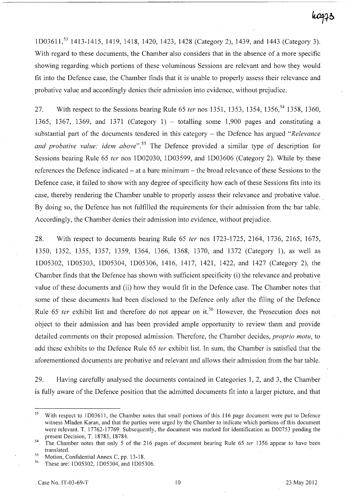1D03611,<sup>53</sup> 1413-1415, 1419, 1418, 1420, 1423, 1428 (Category 2), 1439, and 1443 (Category 3). With regard to these documents, the Chamber also considers that in the absence of a more specific showing regarding which portions of these voluminous Sessions are relevant and how they would fit into the Defence case, the Chamber finds that it is unable to properly assess their relevance and probative value and accordingly denies their admission into evidence, without prejudice.

27. With respect to the Sessions bearing Rule 65 *ter* nos 1351, 1353, 1354, 1356, <sup>54</sup> 1358, 1360, 1365, 1367, 1369, and 1371 (Category 1) – totalling some 1,900 pages and constituting a substantial part of the documents tendered in this category - the Defence has argued *"Relevance and probative value: idem above".55* The Defence provided a similar type of description for Sessions bearing Rule 65 *ter* nos ID02030, ID03599, and ID03606 (Category 2). While by these references the Defence indicated - at a bare minimum - the broad relevance of these Sessions to the Defence case, it failed to show with any degree of specificity how each of these Sessions fits into its case, thereby rendering the Chamber unable to properly assess their relevance and probative value. By doing so, the Defence has not fulfilled the requirements for their admission from the bar table. Accordingly, the Chamber denies their admission into evidence, without prejudice.

28. With respect to documents bearing Rule 65 *ter* nos 1723-1725, 2164, 1736, 2165, 1675, 1350, 1352, 1355, 1357, 1359, 1364, 1366, 1368, 1370, and 1372 (Category 1), as well as ID05302, ID05303, ID05304, ID05306, 1416, 1417, 1421, 1422, and 1427 (Category 2), the Chamber finds that the Defence has shown with sufficient specificity (i) the relevance and probative value of these documents and (ii) how they would fit in the Defence case. The Chamber notes that some of these documents had been disclosed to the Defence only after the filing of the Defence Rule 65 *ter* exhibit list and therefore do not appear on it.<sup>56</sup> However, the Prosecution does not object to their admission and has been provided ample opportunity to review them and provide detailed comments on their proposed admission. Therefore, the Chamber decides, *proprio motu,* to add these exhibits to the Defence Rule 65 *ter* exhibit list. In sum, the Chamber is satisfied that the aforementioned documents are probative and relevant and allows their admission from the bar table.

29. Having carefully analysed the documents contained in Categories 1, 2, and 3, the Chamber is fully aware of the Defence position that the admitted documents fit into a larger picture, and that

<sup>&</sup>lt;sup>53</sup> With respect to 1D03611, the Chamber notes that small portions of this 116 page document were put to Defence witness Mladen Karan, and that the parties were urged by the Chamber to indicate which portions of this document were relevant. T. 17762-17769. Subsequently, the document was marked for identification as 000753 pending the present Oecision, T. 18783, 18784.

<sup>54</sup> The Chamber notes that only 5 of the 216 pages of document bearing Rule 65 *ter* 1356 appear to have been translated.

<sup>&</sup>lt;sup>55</sup> Motion, Confidential Annex C, pp. 13-18.

These are: 1D05302, 1D05304, and 1D05306.